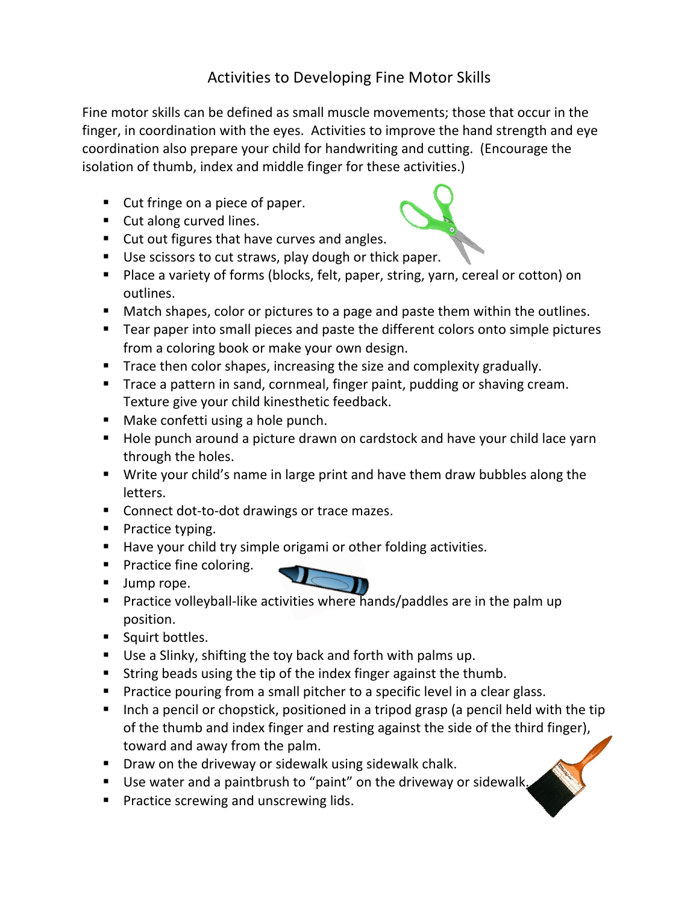## Activities to Developing Fine Motor Skills

Fine motor skills can be defined as small muscle movements; those that occur in the finger, in coordination with the eyes. Activities to improve the hand strength and eye coordination also prepare your child for handwriting and cutting. (Encourage the isolation of thumb, index and middle finger for these activities.)

- $\blacksquare$  Cut fringe on a piece of paper.
- $\blacksquare$  Cut along curved lines.
- Cut out figures that have curves and angles.
- Use scissors to cut straws, play dough or thick paper.
- Place a variety of forms (blocks, felt, paper, string, yarn, cereal or cotton) on outlines.
- Match shapes, color or pictures to a page and paste them within the outlines.
- Tear paper into small pieces and paste the different colors onto simple pictures from a coloring book or make your own design.
- Trace then color shapes, increasing the size and complexity gradually.
- Trace a pattern in sand, cornmeal, finger paint, pudding or shaving cream. Texture give your child kinesthetic feedback.
- $\blacksquare$  Make confetti using a hole punch.
- $\blacksquare$  Hole punch around a picture drawn on cardstock and have your child lace yarn through the holes.
- Write your child's name in large print and have them draw bubbles along the letters.
- Connect dot-to-dot drawings or trace mazes.
- Practice typing.
- Have your child try simple origami or other folding activities.
- Practice fine coloring.
- **Jump rope.**
- Practice volleyball-like activities where hands/paddles are in the palm up position.
- Squirt bottles.
- Use a Slinky, shifting the toy back and forth with palms up.
- String beads using the tip of the index finger against the thumb.
- Practice pouring from a small pitcher to a specific level in a clear glass.
- Inch a pencil or chopstick, positioned in a tripod grasp (a pencil held with the tip of the thumb and index finger and resting against the side of the third finger), toward and away from the palm.
- $\blacksquare$  Draw on the driveway or sidewalk using sidewalk chalk.
- Use water and a paintbrush to "paint" on the driveway or sidewalk
- **Practice screwing and unscrewing lids.**